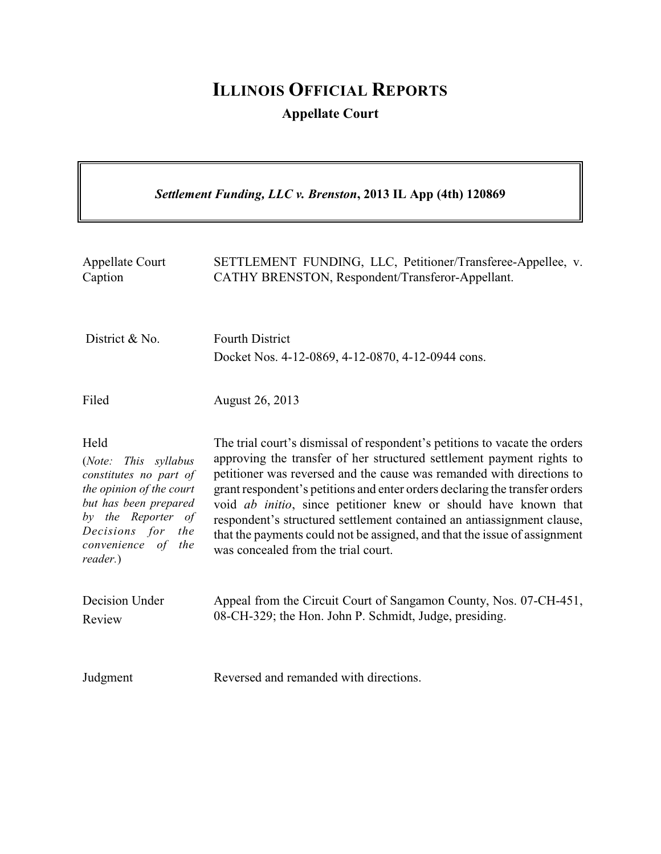# **ILLINOIS OFFICIAL REPORTS Appellate Court**

| Settlement Funding, LLC v. Brenston, 2013 IL App (4th) 120869                                                                                                                                     |                                                                                                                                                                                                                                                                                                                                                                                                                                                                                                                                                                                      |
|---------------------------------------------------------------------------------------------------------------------------------------------------------------------------------------------------|--------------------------------------------------------------------------------------------------------------------------------------------------------------------------------------------------------------------------------------------------------------------------------------------------------------------------------------------------------------------------------------------------------------------------------------------------------------------------------------------------------------------------------------------------------------------------------------|
| <b>Appellate Court</b><br>Caption                                                                                                                                                                 | SETTLEMENT FUNDING, LLC, Petitioner/Transferee-Appellee, v.<br>CATHY BRENSTON, Respondent/Transferor-Appellant.                                                                                                                                                                                                                                                                                                                                                                                                                                                                      |
| District & No.                                                                                                                                                                                    | <b>Fourth District</b><br>Docket Nos. 4-12-0869, 4-12-0870, 4-12-0944 cons.                                                                                                                                                                                                                                                                                                                                                                                                                                                                                                          |
| Filed                                                                                                                                                                                             | August 26, 2013                                                                                                                                                                                                                                                                                                                                                                                                                                                                                                                                                                      |
| Held<br>(Note:<br>This syllabus<br>constitutes no part of<br>the opinion of the court<br>but has been prepared<br>by the Reporter of<br>Decisions for<br>the<br>convenience of<br>the<br>reader.) | The trial court's dismissal of respondent's petitions to vacate the orders<br>approving the transfer of her structured settlement payment rights to<br>petitioner was reversed and the cause was remanded with directions to<br>grant respondent's petitions and enter orders declaring the transfer orders<br>void <i>ab initio</i> , since petitioner knew or should have known that<br>respondent's structured settlement contained an antiassignment clause,<br>that the payments could not be assigned, and that the issue of assignment<br>was concealed from the trial court. |
| Decision Under<br>Review                                                                                                                                                                          | Appeal from the Circuit Court of Sangamon County, Nos. 07-CH-451,<br>08-CH-329; the Hon. John P. Schmidt, Judge, presiding.                                                                                                                                                                                                                                                                                                                                                                                                                                                          |
| Judgment                                                                                                                                                                                          | Reversed and remanded with directions.                                                                                                                                                                                                                                                                                                                                                                                                                                                                                                                                               |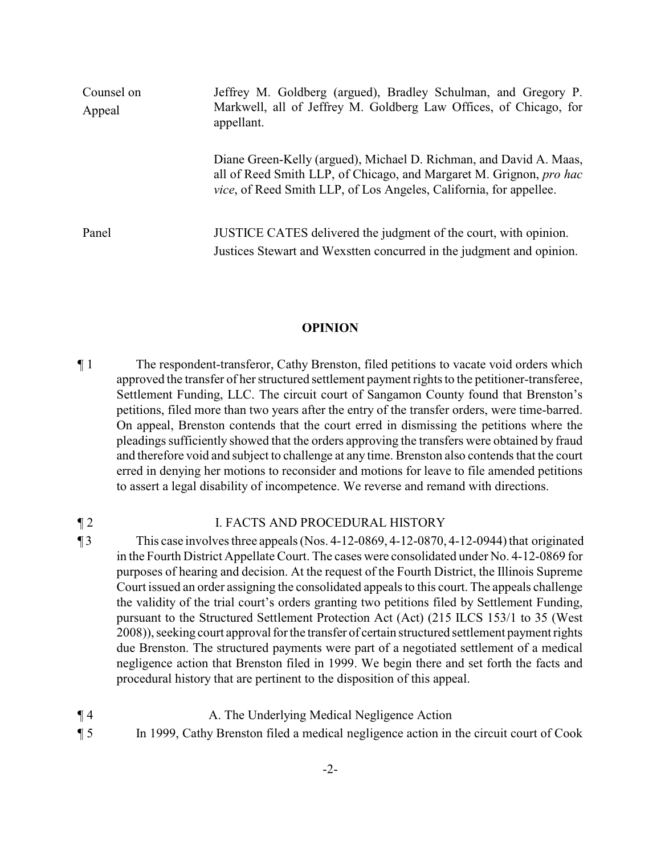| Counsel on<br>Appeal | Jeffrey M. Goldberg (argued), Bradley Schulman, and Gregory P.<br>Markwell, all of Jeffrey M. Goldberg Law Offices, of Chicago, for<br>appellant.                                                                       |
|----------------------|-------------------------------------------------------------------------------------------------------------------------------------------------------------------------------------------------------------------------|
|                      | Diane Green-Kelly (argued), Michael D. Richman, and David A. Maas,<br>all of Reed Smith LLP, of Chicago, and Margaret M. Grignon, pro hac<br><i>vice</i> , of Reed Smith LLP, of Los Angeles, California, for appellee. |
| Panel                | JUSTICE CATES delivered the judgment of the court, with opinion.<br>Justices Stewart and Wexstten concurred in the judgment and opinion.                                                                                |

#### **OPINION**

¶ 1 The respondent-transferor, Cathy Brenston, filed petitions to vacate void orders which approved the transfer of her structured settlement payment rights to the petitioner-transferee, Settlement Funding, LLC. The circuit court of Sangamon County found that Brenston's petitions, filed more than two years after the entry of the transfer orders, were time-barred. On appeal, Brenston contends that the court erred in dismissing the petitions where the pleadings sufficiently showed that the orders approving the transfers were obtained by fraud and therefore void and subject to challenge at any time. Brenston also contends that the court erred in denying her motions to reconsider and motions for leave to file amended petitions to assert a legal disability of incompetence. We reverse and remand with directions.

#### **The STATE STATE I. FACTS AND PROCEDURAL HISTORY**

- $\P$  3 This case involves three appeals (Nos. 4-12-0869, 4-12-0870, 4-12-0944) that originated in the Fourth District Appellate Court. The cases were consolidated under No. 4-12-0869 for purposes of hearing and decision. At the request of the Fourth District, the Illinois Supreme Court issued an order assigning the consolidated appeals to this court. The appeals challenge the validity of the trial court's orders granting two petitions filed by Settlement Funding, pursuant to the Structured Settlement Protection Act (Act) (215 ILCS 153/1 to 35 (West 2008)), seeking court approval for the transfer of certain structured settlement payment rights due Brenston. The structured payments were part of a negotiated settlement of a medical negligence action that Brenston filed in 1999. We begin there and set forth the facts and procedural history that are pertinent to the disposition of this appeal.
- ¶ 4 A. The Underlying Medical Negligence Action
- ¶ 5 In 1999, Cathy Brenston filed a medical negligence action in the circuit court of Cook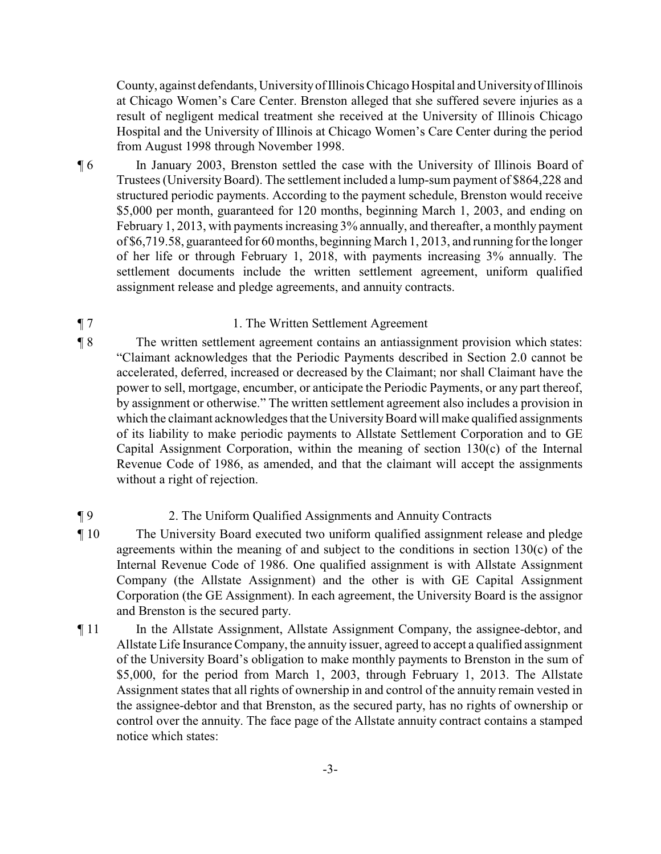County, against defendants, Universityof IllinoisChicago Hospital and Universityof Illinois at Chicago Women's Care Center. Brenston alleged that she suffered severe injuries as a result of negligent medical treatment she received at the University of Illinois Chicago Hospital and the University of Illinois at Chicago Women's Care Center during the period from August 1998 through November 1998.

¶ 6 In January 2003, Brenston settled the case with the University of Illinois Board of Trustees (University Board). The settlement included a lump-sum payment of \$864,228 and structured periodic payments. According to the payment schedule, Brenston would receive \$5,000 per month, guaranteed for 120 months, beginning March 1, 2003, and ending on February 1, 2013, with payments increasing 3% annually, and thereafter, a monthly payment of \$6,719.58, guaranteed for 60 months, beginning March 1, 2013, and running for the longer of her life or through February 1, 2018, with payments increasing 3% annually. The settlement documents include the written settlement agreement, uniform qualified assignment release and pledge agreements, and annuity contracts.

## ¶ 7 1. The Written Settlement Agreement

¶ 8 The written settlement agreement contains an antiassignment provision which states: "Claimant acknowledges that the Periodic Payments described in Section 2.0 cannot be accelerated, deferred, increased or decreased by the Claimant; nor shall Claimant have the power to sell, mortgage, encumber, or anticipate the Periodic Payments, or any part thereof, by assignment or otherwise." The written settlement agreement also includes a provision in which the claimant acknowledges that the University Board will make qualified assignments of its liability to make periodic payments to Allstate Settlement Corporation and to GE Capital Assignment Corporation, within the meaning of section 130(c) of the Internal Revenue Code of 1986, as amended, and that the claimant will accept the assignments without a right of rejection.

## ¶ 9 2. The Uniform Qualified Assignments and Annuity Contracts

- ¶ 10 The University Board executed two uniform qualified assignment release and pledge agreements within the meaning of and subject to the conditions in section 130(c) of the Internal Revenue Code of 1986. One qualified assignment is with Allstate Assignment Company (the Allstate Assignment) and the other is with GE Capital Assignment Corporation (the GE Assignment). In each agreement, the University Board is the assignor and Brenston is the secured party.
- ¶ 11 In the Allstate Assignment, Allstate Assignment Company, the assignee-debtor, and Allstate Life Insurance Company, the annuity issuer, agreed to accept a qualified assignment of the University Board's obligation to make monthly payments to Brenston in the sum of \$5,000, for the period from March 1, 2003, through February 1, 2013. The Allstate Assignment states that all rights of ownership in and control of the annuity remain vested in the assignee-debtor and that Brenston, as the secured party, has no rights of ownership or control over the annuity. The face page of the Allstate annuity contract contains a stamped notice which states: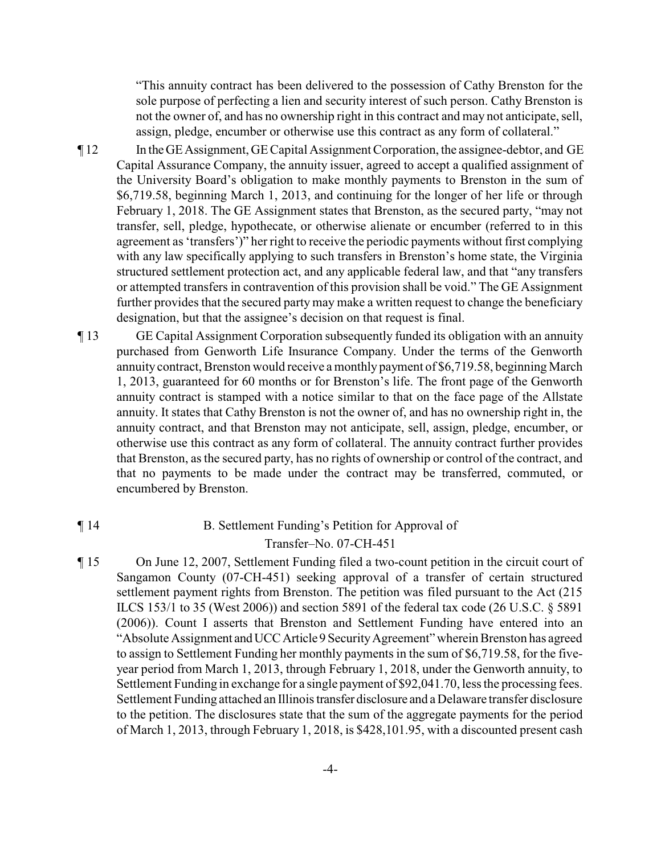"This annuity contract has been delivered to the possession of Cathy Brenston for the sole purpose of perfecting a lien and security interest of such person. Cathy Brenston is not the owner of, and has no ownership right in this contract and may not anticipate, sell, assign, pledge, encumber or otherwise use this contract as any form of collateral."

- ¶ 12 In theGEAssignment, GE Capital Assignment Corporation, the assignee-debtor, and GE Capital Assurance Company, the annuity issuer, agreed to accept a qualified assignment of the University Board's obligation to make monthly payments to Brenston in the sum of \$6,719.58, beginning March 1, 2013, and continuing for the longer of her life or through February 1, 2018. The GE Assignment states that Brenston, as the secured party, "may not transfer, sell, pledge, hypothecate, or otherwise alienate or encumber (referred to in this agreement as 'transfers')" her right to receive the periodic payments without first complying with any law specifically applying to such transfers in Brenston's home state, the Virginia structured settlement protection act, and any applicable federal law, and that "any transfers or attempted transfers in contravention of this provision shall be void." The GE Assignment further provides that the secured party may make a written request to change the beneficiary designation, but that the assignee's decision on that request is final.
- ¶ 13 GE Capital Assignment Corporation subsequently funded its obligation with an annuity purchased from Genworth Life Insurance Company. Under the terms of the Genworth annuity contract, Brenston would receive a monthly payment of \$6,719.58, beginning March 1, 2013, guaranteed for 60 months or for Brenston's life. The front page of the Genworth annuity contract is stamped with a notice similar to that on the face page of the Allstate annuity. It states that Cathy Brenston is not the owner of, and has no ownership right in, the annuity contract, and that Brenston may not anticipate, sell, assign, pledge, encumber, or otherwise use this contract as any form of collateral. The annuity contract further provides that Brenston, as the secured party, has no rights of ownership or control of the contract, and that no payments to be made under the contract may be transferred, commuted, or encumbered by Brenston.

## ¶ 14 B. Settlement Funding's Petition for Approval of Transfer–No. 07-CH-451

¶ 15 On June 12, 2007, Settlement Funding filed a two-count petition in the circuit court of Sangamon County (07-CH-451) seeking approval of a transfer of certain structured settlement payment rights from Brenston. The petition was filed pursuant to the Act (215 ILCS 153/1 to 35 (West 2006)) and section 5891 of the federal tax code (26 U.S.C. § 5891 (2006)). Count I asserts that Brenston and Settlement Funding have entered into an "Absolute Assignment andUCCArticle9 SecurityAgreement" wherein Brenston has agreed to assign to Settlement Funding her monthly payments in the sum of \$6,719.58, for the fiveyear period from March 1, 2013, through February 1, 2018, under the Genworth annuity, to Settlement Funding in exchange for a single payment of \$92,041.70, less the processing fees. Settlement Funding attached an Illinois transfer disclosure and a Delaware transfer disclosure to the petition. The disclosures state that the sum of the aggregate payments for the period of March 1, 2013, through February 1, 2018, is \$428,101.95, with a discounted present cash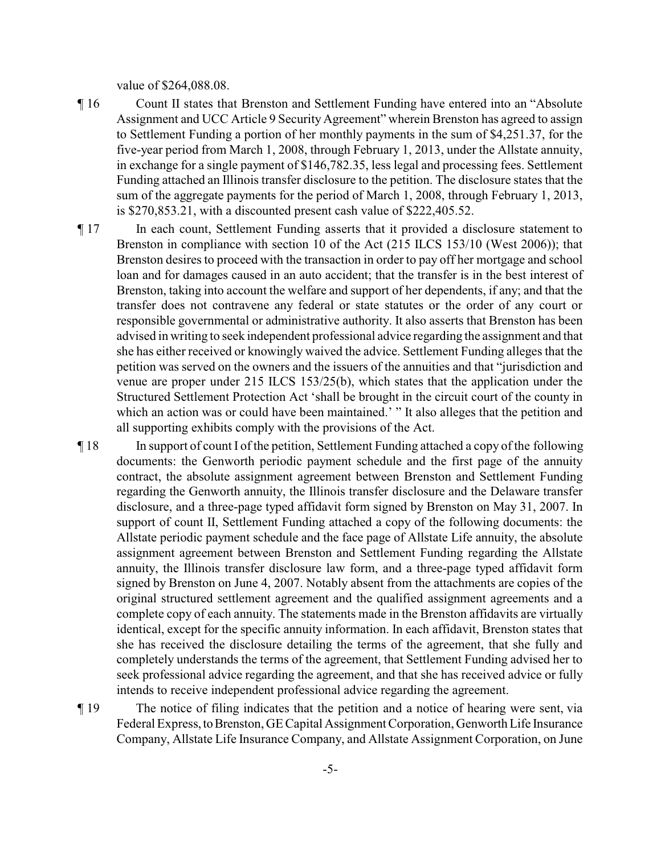value of \$264,088.08.

- ¶ 16 Count II states that Brenston and Settlement Funding have entered into an "Absolute Assignment and UCC Article 9 Security Agreement" wherein Brenston has agreed to assign to Settlement Funding a portion of her monthly payments in the sum of \$4,251.37, for the five-year period from March 1, 2008, through February 1, 2013, under the Allstate annuity, in exchange for a single payment of \$146,782.35, less legal and processing fees. Settlement Funding attached an Illinois transfer disclosure to the petition. The disclosure states that the sum of the aggregate payments for the period of March 1, 2008, through February 1, 2013, is \$270,853.21, with a discounted present cash value of \$222,405.52.
- ¶ 17 In each count, Settlement Funding asserts that it provided a disclosure statement to Brenston in compliance with section 10 of the Act (215 ILCS 153/10 (West 2006)); that Brenston desires to proceed with the transaction in order to pay off her mortgage and school loan and for damages caused in an auto accident; that the transfer is in the best interest of Brenston, taking into account the welfare and support of her dependents, if any; and that the transfer does not contravene any federal or state statutes or the order of any court or responsible governmental or administrative authority. It also asserts that Brenston has been advised in writing to seek independent professional advice regarding the assignment and that she has either received or knowingly waived the advice. Settlement Funding alleges that the petition was served on the owners and the issuers of the annuities and that "jurisdiction and venue are proper under 215 ILCS 153/25(b), which states that the application under the Structured Settlement Protection Act 'shall be brought in the circuit court of the county in which an action was or could have been maintained.' "It also alleges that the petition and all supporting exhibits comply with the provisions of the Act.
- ¶ 18 In support of count I of the petition, Settlement Funding attached a copy of the following documents: the Genworth periodic payment schedule and the first page of the annuity contract, the absolute assignment agreement between Brenston and Settlement Funding regarding the Genworth annuity, the Illinois transfer disclosure and the Delaware transfer disclosure, and a three-page typed affidavit form signed by Brenston on May 31, 2007. In support of count II, Settlement Funding attached a copy of the following documents: the Allstate periodic payment schedule and the face page of Allstate Life annuity, the absolute assignment agreement between Brenston and Settlement Funding regarding the Allstate annuity, the Illinois transfer disclosure law form, and a three-page typed affidavit form signed by Brenston on June 4, 2007. Notably absent from the attachments are copies of the original structured settlement agreement and the qualified assignment agreements and a complete copy of each annuity. The statements made in the Brenston affidavits are virtually identical, except for the specific annuity information. In each affidavit, Brenston states that she has received the disclosure detailing the terms of the agreement, that she fully and completely understands the terms of the agreement, that Settlement Funding advised her to seek professional advice regarding the agreement, and that she has received advice or fully intends to receive independent professional advice regarding the agreement.
- ¶ 19 The notice of filing indicates that the petition and a notice of hearing were sent, via Federal Express, to Brenston, GE Capital Assignment Corporation, Genworth Life Insurance Company, Allstate Life Insurance Company, and Allstate Assignment Corporation, on June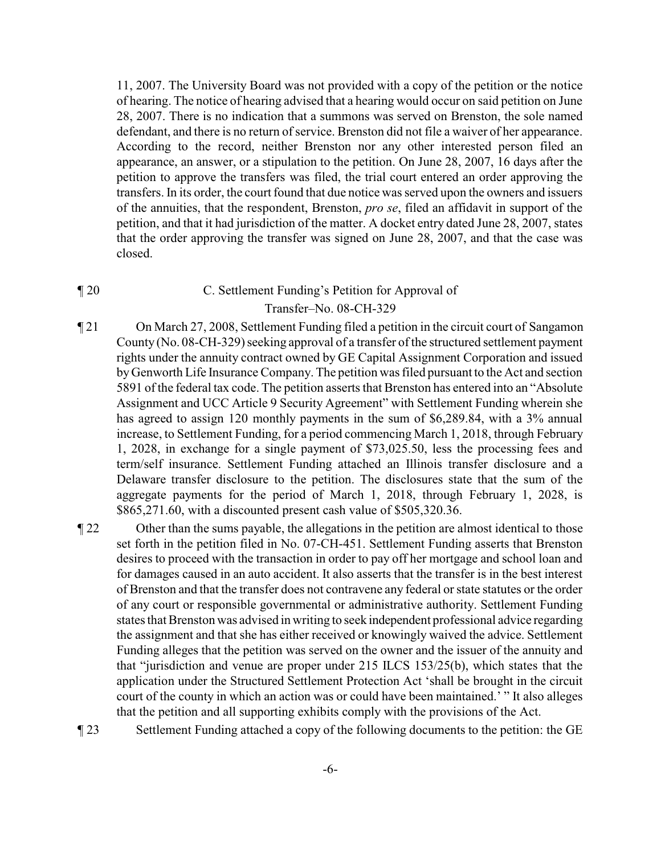11, 2007. The University Board was not provided with a copy of the petition or the notice of hearing. The notice of hearing advised that a hearing would occur on said petition on June 28, 2007. There is no indication that a summons was served on Brenston, the sole named defendant, and there is no return of service. Brenston did not file a waiver of her appearance. According to the record, neither Brenston nor any other interested person filed an appearance, an answer, or a stipulation to the petition. On June 28, 2007, 16 days after the petition to approve the transfers was filed, the trial court entered an order approving the transfers. In its order, the court found that due notice was served upon the owners and issuers of the annuities, that the respondent, Brenston, *pro se*, filed an affidavit in support of the petition, and that it had jurisdiction of the matter. A docket entry dated June 28, 2007, states that the order approving the transfer was signed on June 28, 2007, and that the case was closed.

## ¶ 20 C. Settlement Funding's Petition for Approval of Transfer–No. 08-CH-329

¶ 21 On March 27, 2008, Settlement Funding filed a petition in the circuit court of Sangamon County (No. 08-CH-329) seeking approval of a transfer of the structured settlement payment rights under the annuity contract owned by GE Capital Assignment Corporation and issued byGenworth Life Insurance Company. The petition was filed pursuant to the Act and section 5891 of the federal tax code. The petition asserts that Brenston has entered into an "Absolute Assignment and UCC Article 9 Security Agreement" with Settlement Funding wherein she has agreed to assign 120 monthly payments in the sum of \$6,289.84, with a 3% annual increase, to Settlement Funding, for a period commencing March 1, 2018, through February 1, 2028, in exchange for a single payment of \$73,025.50, less the processing fees and term/self insurance. Settlement Funding attached an Illinois transfer disclosure and a Delaware transfer disclosure to the petition. The disclosures state that the sum of the aggregate payments for the period of March 1, 2018, through February 1, 2028, is \$865,271.60, with a discounted present cash value of \$505,320.36.

¶ 22 Other than the sums payable, the allegations in the petition are almost identical to those set forth in the petition filed in No. 07-CH-451. Settlement Funding asserts that Brenston desires to proceed with the transaction in order to pay off her mortgage and school loan and for damages caused in an auto accident. It also asserts that the transfer is in the best interest of Brenston and that the transfer does not contravene any federal or state statutes or the order of any court or responsible governmental or administrative authority. Settlement Funding states that Brenston was advised in writing to seek independent professional advice regarding the assignment and that she has either received or knowingly waived the advice. Settlement Funding alleges that the petition was served on the owner and the issuer of the annuity and that "jurisdiction and venue are proper under 215 ILCS 153/25(b), which states that the application under the Structured Settlement Protection Act 'shall be brought in the circuit court of the county in which an action was or could have been maintained.' " It also alleges that the petition and all supporting exhibits comply with the provisions of the Act.

¶ 23 Settlement Funding attached a copy of the following documents to the petition: the GE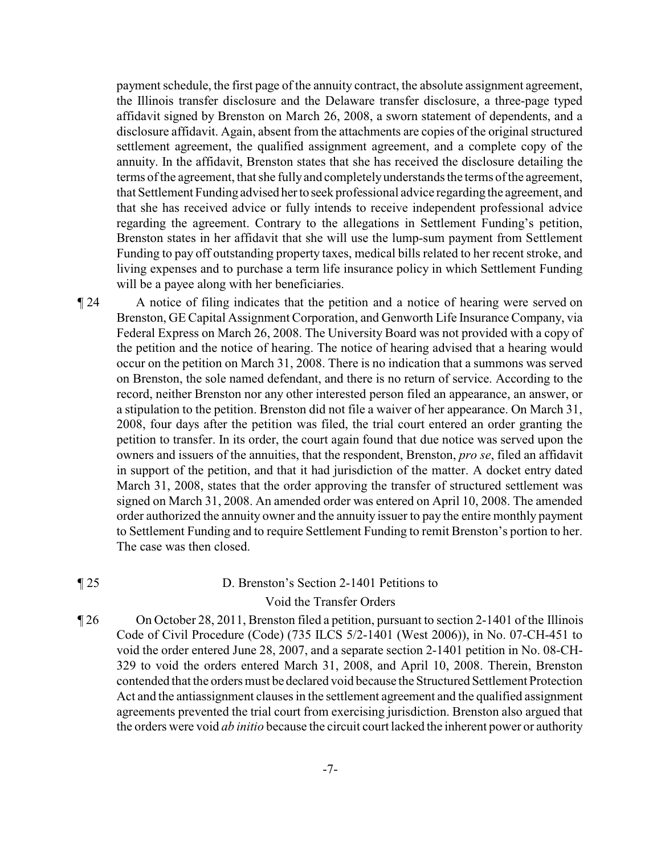payment schedule, the first page of the annuity contract, the absolute assignment agreement, the Illinois transfer disclosure and the Delaware transfer disclosure, a three-page typed affidavit signed by Brenston on March 26, 2008, a sworn statement of dependents, and a disclosure affidavit. Again, absent from the attachments are copies of the original structured settlement agreement, the qualified assignment agreement, and a complete copy of the annuity. In the affidavit, Brenston states that she has received the disclosure detailing the terms of the agreement, that she fullyand completelyunderstands the terms of the agreement, that Settlement Funding advised herto seek professional advice regarding the agreement, and that she has received advice or fully intends to receive independent professional advice regarding the agreement. Contrary to the allegations in Settlement Funding's petition, Brenston states in her affidavit that she will use the lump-sum payment from Settlement Funding to pay off outstanding property taxes, medical bills related to her recent stroke, and living expenses and to purchase a term life insurance policy in which Settlement Funding will be a payee along with her beneficiaries.

¶ 24 A notice of filing indicates that the petition and a notice of hearing were served on Brenston, GE Capital Assignment Corporation, and Genworth Life Insurance Company, via Federal Express on March 26, 2008. The University Board was not provided with a copy of the petition and the notice of hearing. The notice of hearing advised that a hearing would occur on the petition on March 31, 2008. There is no indication that a summons was served on Brenston, the sole named defendant, and there is no return of service. According to the record, neither Brenston nor any other interested person filed an appearance, an answer, or a stipulation to the petition. Brenston did not file a waiver of her appearance. On March 31, 2008, four days after the petition was filed, the trial court entered an order granting the petition to transfer. In its order, the court again found that due notice was served upon the owners and issuers of the annuities, that the respondent, Brenston, *pro se*, filed an affidavit in support of the petition, and that it had jurisdiction of the matter. A docket entry dated March 31, 2008, states that the order approving the transfer of structured settlement was signed on March 31, 2008. An amended order was entered on April 10, 2008. The amended order authorized the annuity owner and the annuity issuer to pay the entire monthly payment to Settlement Funding and to require Settlement Funding to remit Brenston's portion to her. The case was then closed.

#### ¶ 25 D. Brenston's Section 2-1401 Petitions to

#### Void the Transfer Orders

¶ 26 On October 28, 2011, Brenston filed a petition, pursuant to section 2-1401 of the Illinois Code of Civil Procedure (Code) (735 ILCS 5/2-1401 (West 2006)), in No. 07-CH-451 to void the order entered June 28, 2007, and a separate section 2-1401 petition in No. 08-CH-329 to void the orders entered March 31, 2008, and April 10, 2008. Therein, Brenston contended that the orders must be declared void because the Structured Settlement Protection Act and the antiassignment clauses in the settlement agreement and the qualified assignment agreements prevented the trial court from exercising jurisdiction. Brenston also argued that the orders were void *ab initio* because the circuit court lacked the inherent power or authority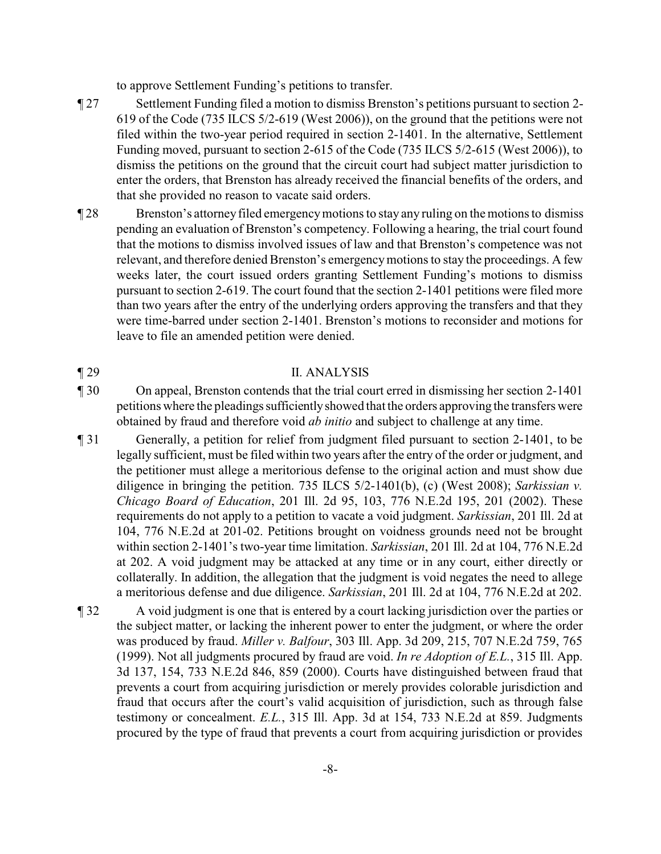to approve Settlement Funding's petitions to transfer.

- ¶ 27 Settlement Funding filed a motion to dismiss Brenston's petitions pursuant to section 2- 619 of the Code (735 ILCS 5/2-619 (West 2006)), on the ground that the petitions were not filed within the two-year period required in section 2-1401. In the alternative, Settlement Funding moved, pursuant to section 2-615 of the Code (735 ILCS 5/2-615 (West 2006)), to dismiss the petitions on the ground that the circuit court had subject matter jurisdiction to enter the orders, that Brenston has already received the financial benefits of the orders, and that she provided no reason to vacate said orders.
- ¶ 28 Brenston's attorneyfiled emergencymotions to stay any ruling on the motions to dismiss pending an evaluation of Brenston's competency. Following a hearing, the trial court found that the motions to dismiss involved issues of law and that Brenston's competence was not relevant, and therefore denied Brenston's emergencymotions to stay the proceedings. A few weeks later, the court issued orders granting Settlement Funding's motions to dismiss pursuant to section 2-619. The court found that the section 2-1401 petitions were filed more than two years after the entry of the underlying orders approving the transfers and that they were time-barred under section 2-1401. Brenston's motions to reconsider and motions for leave to file an amended petition were denied.

## ¶ 29 II. ANALYSIS

- ¶ 30 On appeal, Brenston contends that the trial court erred in dismissing her section 2-1401 petitions where the pleadings sufficientlyshowed that the orders approving the transfers were obtained by fraud and therefore void *ab initio* and subject to challenge at any time.
- ¶ 31 Generally, a petition for relief from judgment filed pursuant to section 2-1401, to be legally sufficient, must be filed within two years after the entry of the order or judgment, and the petitioner must allege a meritorious defense to the original action and must show due diligence in bringing the petition. 735 ILCS 5/2-1401(b), (c) (West 2008); *Sarkissian v. Chicago Board of Education*, 201 Ill. 2d 95, 103, 776 N.E.2d 195, 201 (2002). These requirements do not apply to a petition to vacate a void judgment. *Sarkissian*, 201 Ill. 2d at 104, 776 N.E.2d at 201-02. Petitions brought on voidness grounds need not be brought within section 2-1401's two-year time limitation. *Sarkissian*, 201 Ill. 2d at 104, 776 N.E.2d at 202. A void judgment may be attacked at any time or in any court, either directly or collaterally. In addition, the allegation that the judgment is void negates the need to allege a meritorious defense and due diligence. *Sarkissian*, 201 Ill. 2d at 104, 776 N.E.2d at 202.
- ¶ 32 A void judgment is one that is entered by a court lacking jurisdiction over the parties or the subject matter, or lacking the inherent power to enter the judgment, or where the order was produced by fraud. *Miller v. Balfour*, 303 Ill. App. 3d 209, 215, 707 N.E.2d 759, 765 (1999). Not all judgments procured by fraud are void. *In re Adoption of E.L.*, 315 Ill. App. 3d 137, 154, 733 N.E.2d 846, 859 (2000). Courts have distinguished between fraud that prevents a court from acquiring jurisdiction or merely provides colorable jurisdiction and fraud that occurs after the court's valid acquisition of jurisdiction, such as through false testimony or concealment. *E.L.*, 315 Ill. App. 3d at 154, 733 N.E.2d at 859. Judgments procured by the type of fraud that prevents a court from acquiring jurisdiction or provides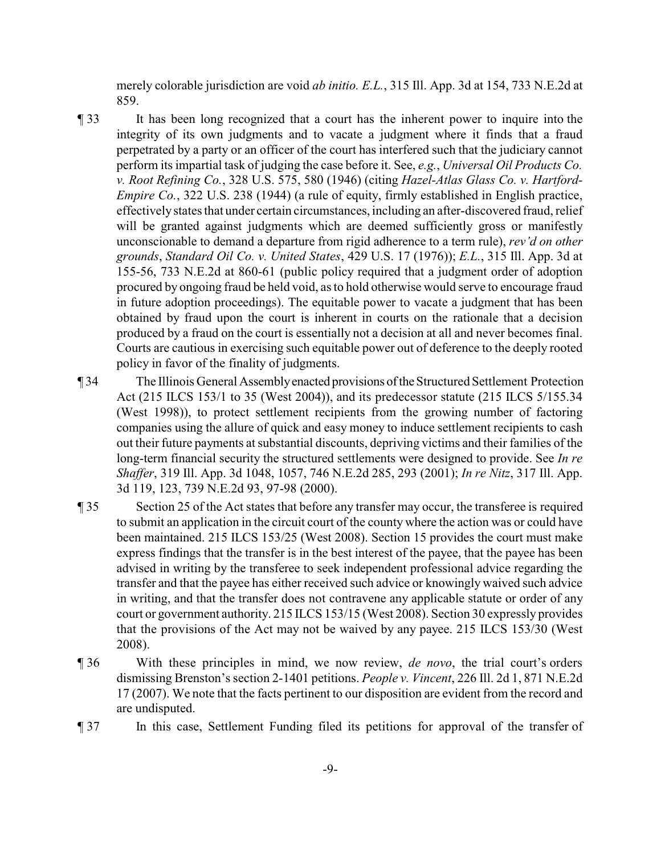merely colorable jurisdiction are void *ab initio. E.L.*, 315 Ill. App. 3d at 154, 733 N.E.2d at 859.

- ¶ 33 It has been long recognized that a court has the inherent power to inquire into the integrity of its own judgments and to vacate a judgment where it finds that a fraud perpetrated by a party or an officer of the court has interfered such that the judiciary cannot perform its impartial task of judging the case before it. See, *e.g.*, *Universal Oil Products Co. v. Root Refining Co.*, 328 U.S. 575, 580 (1946) (citing *Hazel-Atlas Glass Co. v. Hartford-Empire Co.*, 322 U.S. 238 (1944) (a rule of equity, firmly established in English practice, effectivelystates that under certain circumstances, including an after-discovered fraud, relief will be granted against judgments which are deemed sufficiently gross or manifestly unconscionable to demand a departure from rigid adherence to a term rule), *rev'd on other grounds*, *Standard Oil Co. v. United States*, 429 U.S. 17 (1976)); *E.L.*, 315 Ill. App. 3d at 155-56, 733 N.E.2d at 860-61 (public policy required that a judgment order of adoption procured by ongoing fraud be held void, as to hold otherwise would serve to encourage fraud in future adoption proceedings). The equitable power to vacate a judgment that has been obtained by fraud upon the court is inherent in courts on the rationale that a decision produced by a fraud on the court is essentially not a decision at all and never becomes final. Courts are cautious in exercising such equitable power out of deference to the deeply rooted policy in favor of the finality of judgments.
- ¶ 34 The Illinois General Assemblyenacted provisions oftheStructured Settlement Protection Act (215 ILCS 153/1 to 35 (West 2004)), and its predecessor statute (215 ILCS 5/155.34 (West 1998)), to protect settlement recipients from the growing number of factoring companies using the allure of quick and easy money to induce settlement recipients to cash out their future payments at substantial discounts, depriving victims and their families of the long-term financial security the structured settlements were designed to provide. See *In re Shaffer*, 319 Ill. App. 3d 1048, 1057, 746 N.E.2d 285, 293 (2001); *In re Nitz*, 317 Ill. App. 3d 119, 123, 739 N.E.2d 93, 97-98 (2000).
- ¶ 35 Section 25 of the Act states that before any transfer may occur, the transferee is required to submit an application in the circuit court of the county where the action was or could have been maintained. 215 ILCS 153/25 (West 2008). Section 15 provides the court must make express findings that the transfer is in the best interest of the payee, that the payee has been advised in writing by the transferee to seek independent professional advice regarding the transfer and that the payee has either received such advice or knowingly waived such advice in writing, and that the transfer does not contravene any applicable statute or order of any court or government authority. 215 ILCS 153/15 (West 2008). Section 30 expressly provides that the provisions of the Act may not be waived by any payee. 215 ILCS 153/30 (West 2008).
- ¶ 36 With these principles in mind, we now review, *de novo*, the trial court's orders dismissing Brenston's section 2-1401 petitions. *People v. Vincent*, 226 Ill. 2d 1, 871 N.E.2d 17 (2007). We note that the facts pertinent to our disposition are evident from the record and are undisputed.
- ¶ 37 In this case, Settlement Funding filed its petitions for approval of the transfer of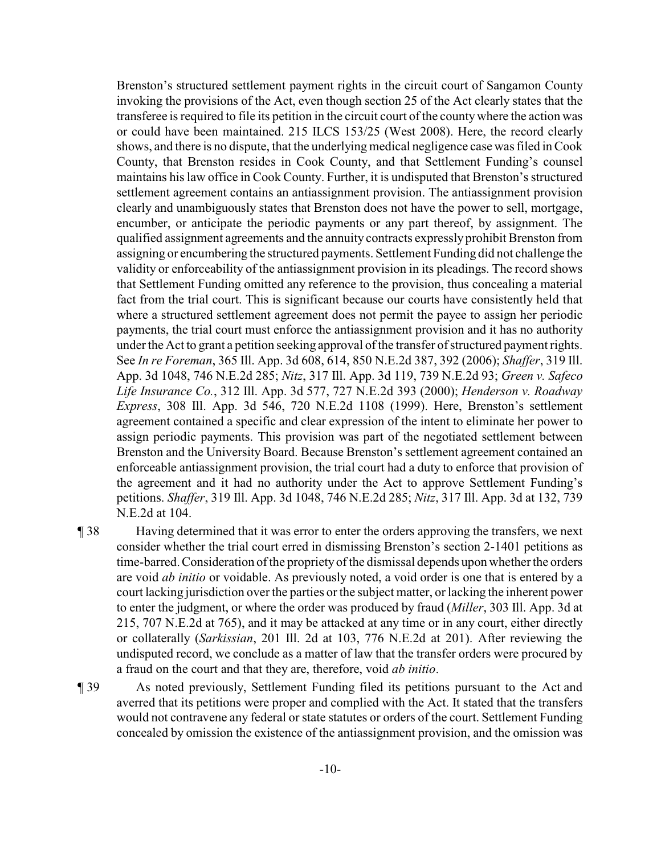Brenston's structured settlement payment rights in the circuit court of Sangamon County invoking the provisions of the Act, even though section 25 of the Act clearly states that the transferee is required to file its petition in the circuit court of the countywhere the action was or could have been maintained. 215 ILCS 153/25 (West 2008). Here, the record clearly shows, and there is no dispute, that the underlying medical negligence casewas filed in Cook County, that Brenston resides in Cook County, and that Settlement Funding's counsel maintains his law office in Cook County. Further, it is undisputed that Brenston's structured settlement agreement contains an antiassignment provision. The antiassignment provision clearly and unambiguously states that Brenston does not have the power to sell, mortgage, encumber, or anticipate the periodic payments or any part thereof, by assignment. The qualified assignment agreements and the annuity contracts expressly prohibit Brenston from assigning or encumbering the structured payments. Settlement Funding did not challenge the validity or enforceability of the antiassignment provision in its pleadings. The record shows that Settlement Funding omitted any reference to the provision, thus concealing a material fact from the trial court. This is significant because our courts have consistently held that where a structured settlement agreement does not permit the payee to assign her periodic payments, the trial court must enforce the antiassignment provision and it has no authority under the Act to grant a petition seeking approval of the transfer of structured payment rights. See *In re Foreman*, 365 Ill. App. 3d 608, 614, 850 N.E.2d 387, 392 (2006); *Shaffer*, 319 Ill. App. 3d 1048, 746 N.E.2d 285; *Nitz*, 317 Ill. App. 3d 119, 739 N.E.2d 93; *Green v. Safeco Life Insurance Co.*, 312 Ill. App. 3d 577, 727 N.E.2d 393 (2000); *Henderson v. Roadway Express*, 308 Ill. App. 3d 546, 720 N.E.2d 1108 (1999). Here, Brenston's settlement agreement contained a specific and clear expression of the intent to eliminate her power to assign periodic payments. This provision was part of the negotiated settlement between Brenston and the University Board. Because Brenston's settlement agreement contained an enforceable antiassignment provision, the trial court had a duty to enforce that provision of the agreement and it had no authority under the Act to approve Settlement Funding's petitions. *Shaffer*, 319 Ill. App. 3d 1048, 746 N.E.2d 285; *Nitz*, 317 Ill. App. 3d at 132, 739 N.E.2d at 104.

¶ 38 Having determined that it was error to enter the orders approving the transfers, we next consider whether the trial court erred in dismissing Brenston's section 2-1401 petitions as time-barred. Consideration of the propriety of the dismissal depends upon whether the orders are void *ab initio* or voidable. As previously noted, a void order is one that is entered by a court lacking jurisdiction over the parties or the subject matter, or lacking the inherent power to enter the judgment, or where the order was produced by fraud (*Miller*, 303 Ill. App. 3d at 215, 707 N.E.2d at 765), and it may be attacked at any time or in any court, either directly or collaterally (*Sarkissian*, 201 Ill. 2d at 103, 776 N.E.2d at 201). After reviewing the undisputed record, we conclude as a matter of law that the transfer orders were procured by a fraud on the court and that they are, therefore, void *ab initio*.

¶ 39 As noted previously, Settlement Funding filed its petitions pursuant to the Act and averred that its petitions were proper and complied with the Act. It stated that the transfers would not contravene any federal or state statutes or orders of the court. Settlement Funding concealed by omission the existence of the antiassignment provision, and the omission was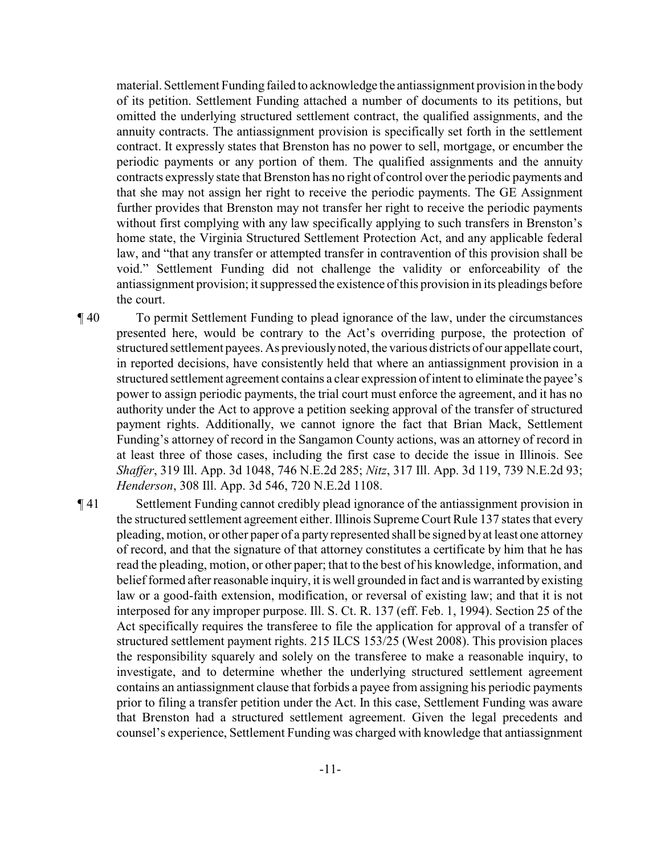material. Settlement Funding failed to acknowledge the antiassignment provision in the body of its petition. Settlement Funding attached a number of documents to its petitions, but omitted the underlying structured settlement contract, the qualified assignments, and the annuity contracts. The antiassignment provision is specifically set forth in the settlement contract. It expressly states that Brenston has no power to sell, mortgage, or encumber the periodic payments or any portion of them. The qualified assignments and the annuity contracts expressly state that Brenston has no right of control over the periodic payments and that she may not assign her right to receive the periodic payments. The GE Assignment further provides that Brenston may not transfer her right to receive the periodic payments without first complying with any law specifically applying to such transfers in Brenston's home state, the Virginia Structured Settlement Protection Act, and any applicable federal law, and "that any transfer or attempted transfer in contravention of this provision shall be void." Settlement Funding did not challenge the validity or enforceability of the antiassignment provision; it suppressed the existence of this provision in its pleadings before the court.

¶ 40 To permit Settlement Funding to plead ignorance of the law, under the circumstances presented here, would be contrary to the Act's overriding purpose, the protection of structured settlement payees. As previouslynoted, the various districts of our appellate court, in reported decisions, have consistently held that where an antiassignment provision in a structured settlement agreement contains a clear expression of intent to eliminate the payee's power to assign periodic payments, the trial court must enforce the agreement, and it has no authority under the Act to approve a petition seeking approval of the transfer of structured payment rights. Additionally, we cannot ignore the fact that Brian Mack, Settlement Funding's attorney of record in the Sangamon County actions, was an attorney of record in at least three of those cases, including the first case to decide the issue in Illinois. See *Shaffer*, 319 Ill. App. 3d 1048, 746 N.E.2d 285; *Nitz*, 317 Ill. App. 3d 119, 739 N.E.2d 93; *Henderson*, 308 Ill. App. 3d 546, 720 N.E.2d 1108.

¶ 41 Settlement Funding cannot credibly plead ignorance of the antiassignment provision in the structured settlement agreement either. Illinois Supreme Court Rule 137 states that every pleading, motion, or other paper of a party represented shall be signed byat least one attorney of record, and that the signature of that attorney constitutes a certificate by him that he has read the pleading, motion, or other paper; that to the best of his knowledge, information, and belief formed after reasonable inquiry, it is well grounded in fact and is warranted by existing law or a good-faith extension, modification, or reversal of existing law; and that it is not interposed for any improper purpose. Ill. S. Ct. R. 137 (eff. Feb. 1, 1994). Section 25 of the Act specifically requires the transferee to file the application for approval of a transfer of structured settlement payment rights. 215 ILCS 153/25 (West 2008). This provision places the responsibility squarely and solely on the transferee to make a reasonable inquiry, to investigate, and to determine whether the underlying structured settlement agreement contains an antiassignment clause that forbids a payee from assigning his periodic payments prior to filing a transfer petition under the Act. In this case, Settlement Funding was aware that Brenston had a structured settlement agreement. Given the legal precedents and counsel's experience, Settlement Funding was charged with knowledge that antiassignment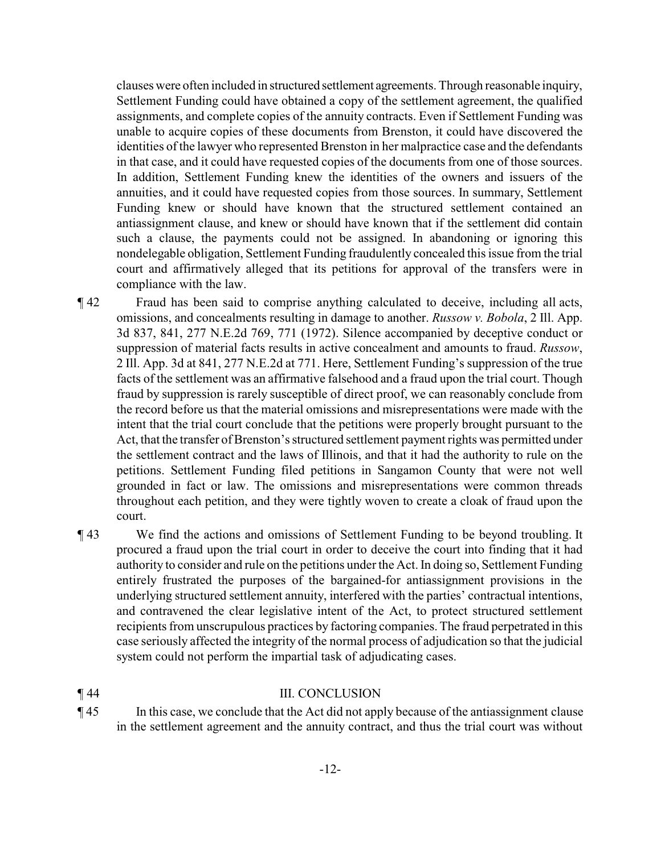clauses were often included in structured settlement agreements. Through reasonable inquiry, Settlement Funding could have obtained a copy of the settlement agreement, the qualified assignments, and complete copies of the annuity contracts. Even if Settlement Funding was unable to acquire copies of these documents from Brenston, it could have discovered the identities of the lawyer who represented Brenston in her malpractice case and the defendants in that case, and it could have requested copies of the documents from one of those sources. In addition, Settlement Funding knew the identities of the owners and issuers of the annuities, and it could have requested copies from those sources. In summary, Settlement Funding knew or should have known that the structured settlement contained an antiassignment clause, and knew or should have known that if the settlement did contain such a clause, the payments could not be assigned. In abandoning or ignoring this nondelegable obligation, Settlement Funding fraudulently concealed this issue from the trial court and affirmatively alleged that its petitions for approval of the transfers were in compliance with the law.

- ¶ 42 Fraud has been said to comprise anything calculated to deceive, including all acts, omissions, and concealments resulting in damage to another. *Russow v. Bobola*, 2 Ill. App. 3d 837, 841, 277 N.E.2d 769, 771 (1972). Silence accompanied by deceptive conduct or suppression of material facts results in active concealment and amounts to fraud. *Russow*, 2 Ill. App. 3d at 841, 277 N.E.2d at 771. Here, Settlement Funding's suppression of the true facts of the settlement was an affirmative falsehood and a fraud upon the trial court. Though fraud by suppression is rarely susceptible of direct proof, we can reasonably conclude from the record before us that the material omissions and misrepresentations were made with the intent that the trial court conclude that the petitions were properly brought pursuant to the Act, that the transfer of Brenston's structured settlement payment rights was permitted under the settlement contract and the laws of Illinois, and that it had the authority to rule on the petitions. Settlement Funding filed petitions in Sangamon County that were not well grounded in fact or law. The omissions and misrepresentations were common threads throughout each petition, and they were tightly woven to create a cloak of fraud upon the court.
- ¶ 43 We find the actions and omissions of Settlement Funding to be beyond troubling. It procured a fraud upon the trial court in order to deceive the court into finding that it had authority to consider and rule on the petitions under the Act. In doing so, Settlement Funding entirely frustrated the purposes of the bargained-for antiassignment provisions in the underlying structured settlement annuity, interfered with the parties' contractual intentions, and contravened the clear legislative intent of the Act, to protect structured settlement recipients from unscrupulous practices by factoring companies. The fraud perpetrated in this case seriously affected the integrity of the normal process of adjudication so that the judicial system could not perform the impartial task of adjudicating cases.

#### ¶ 44 III. CONCLUSION

¶ 45 In this case, we conclude that the Act did not apply because of the antiassignment clause in the settlement agreement and the annuity contract, and thus the trial court was without